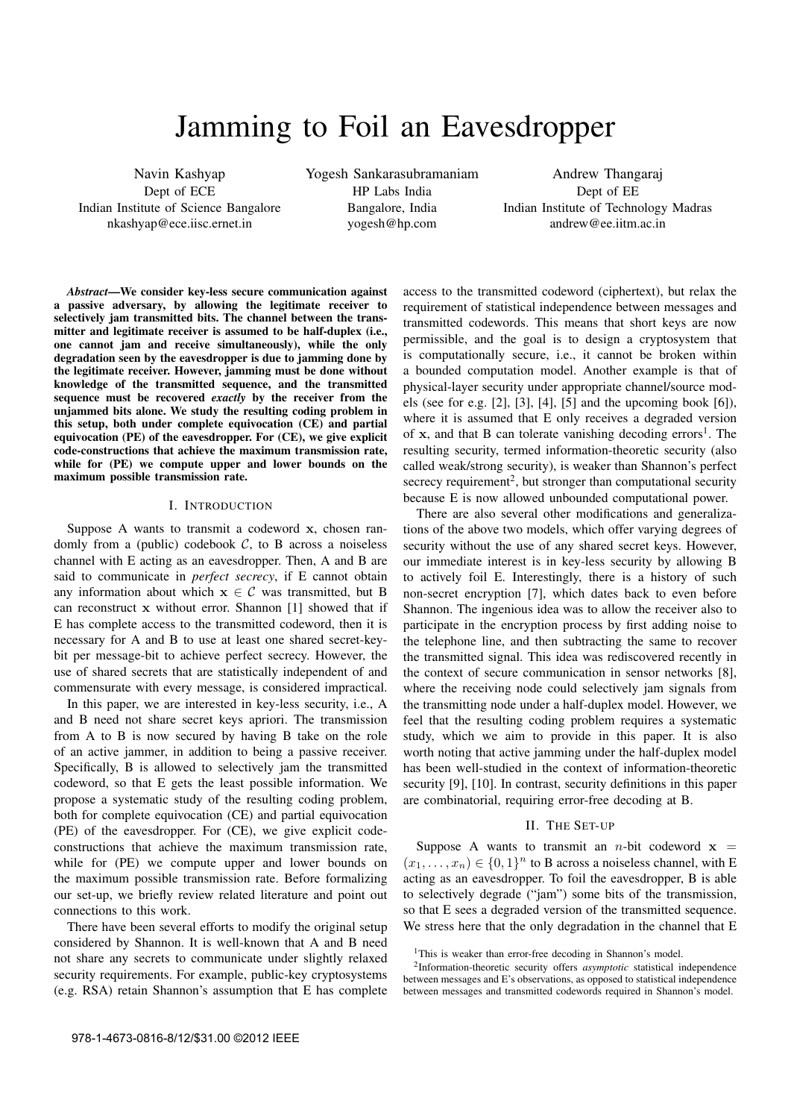# Jamming to Foil an Eavesdropper

Navin Kashyap Dept of ECE Indian Institute of Science Bangalore nkashyap@ece.iisc.ernet.in

Yogesh Sankarasubramaniam HP Labs India Bangalore, India yogesh@hp.com

Andrew Thangaraj Dept of EE Indian Institute of Technology Madras andrew@ee.iitm.ac.in

Abstract—We consider key-less secure communication against a passive adversary, by allowing the legitimate receiver to selectively jam transmitted bits. The channel between the transmitter and legitimate receiver is assumed to be half-duplex (i.e., one cannot jam and receive simultaneously), while the only degradation seen by the eavesdropper is due to jamming done by the legitimate receiver. However, jamming must be done without knowledge of the transmitted sequence, and the transmitted sequence must be recovered exactly by the receiver from the unjammed bits alone. We study the resulting coding problem in this setup, both under complete equivocation (CE) and partial equivocation (PE) of the eavesdropper. For (CE), we give explicit code-constructions that achieve the maximum transmission rate, while for (PE) we compute upper and lower bounds on the maximum possible transmission rate.

#### I. INTRODUCTION

Suppose A wants to transmit a codeword x, chosen randomly from a (public) codebook  $C$ , to B across a noiseless channel with E acting as an eavesdropper. Then, A and B are said to communicate in *perfect secrecy*, if E cannot obtain any information about which  $x \in C$  was transmitted, but B can reconstruct x without error. Shannon [1] showed that if E has complete access to the transmitted codeword, then it is necessary for A and B to use at least one shared secret-keybit per message-bit to achieve perfect secrecy. However, the use of shared secrets that are statistically independent of and commensurate with every message, is considered impractical.

In this paper, we are interested in key-less security, i.e., A and B need not share secret keys apriori. The transmission from A to B is now secured by having B take on the role of an active jammer, in addition to being a passive receiver. Specifically, B is allowed to selectively jam the transmitted codeword, so that E gets the least possible information. We propose a systematic study of the resulting coding problem, both for complete equivocation (CE) and partial equivocation (PE) of the eavesdropper. For (CE), we give explicit codeconstructions that achieve the maximum transmission rate, while for (PE) we compute upper and lower bounds on the maximum possible transmission rate. Before formalizing our set-up, we briefly review related literature and point out connections to this work.

There have been several efforts to modify the original setup considered by Shannon. It is well-known that A and B need not share any secrets to communicate under slightly relaxed security requirements. For example, public-key cryptosystems (e.g. RSA) retain Shannon's assumption that E has complete

access to the transmitted codeword (ciphertext), but relax the requirement of statistical independence between messages and transmitted codewords. This means that short keys are now permissible, and the goal is to design a cryptosystem that is computationally secure, i.e., it cannot be broken within a bounded computation model. Another example is that of physical-layer security under appropriate channel/source models (see for e.g. [2], [3], [4], [5] and the upcoming book [6]), where it is assumed that E only receives a degraded version of  $x$ , and that B can tolerate vanishing decoding errors<sup>1</sup>. The resulting security, termed information-theoretic security (also called weak/strong security), is weaker than Shannon's perfect secrecy requirement<sup>2</sup>, but stronger than computational security because E is now allowed unbounded computational power.

There are also several other modifications and generalizations of the above two models, which offer varying degrees of security without the use of any shared secret keys. However, our immediate interest is in key-less security by allowing B to actively foil E. Interestingly, there is a history of such non-secret encryption [7], which dates back to even before Shannon. The ingenious idea was to allow the receiver also to participate in the encryption process by first adding noise to the telephone line, and then subtracting the same to recover the transmitted signal. This idea was rediscovered recently in the context of secure communication in sensor networks [8], where the receiving node could selectively jam signals from the transmitting node under a half-duplex model. However, we feel that the resulting coding problem requires a systematic study, which we aim to provide in this paper. It is also worth noting that active jamming under the half-duplex model has been well-studied in the context of information-theoretic security [9], [10]. In contrast, security definitions in this paper are combinatorial, requiring error-free decoding at B.

#### II. THE SET-UP

Suppose A wants to transmit an *n*-bit codeword  $x =$  $(x_1, \ldots, x_n) \in \{0,1\}^n$  to B across a noiseless channel, with E acting as an eavesdropper. To foil the eavesdropper, B is able to selectively degrade ("jam") some bits of the transmission, so that E sees a degraded version of the transmitted sequence. We stress here that the only degradation in the channel that E

<sup>&</sup>lt;sup>1</sup>This is weaker than error-free decoding in Shannon's model.

<sup>&</sup>lt;sup>2</sup>Information-theoretic security offers *asymptotic* statistical independence between messages and E's observations, as opposed to statistical independence between messages and transmitted codewords required in Shannon's model.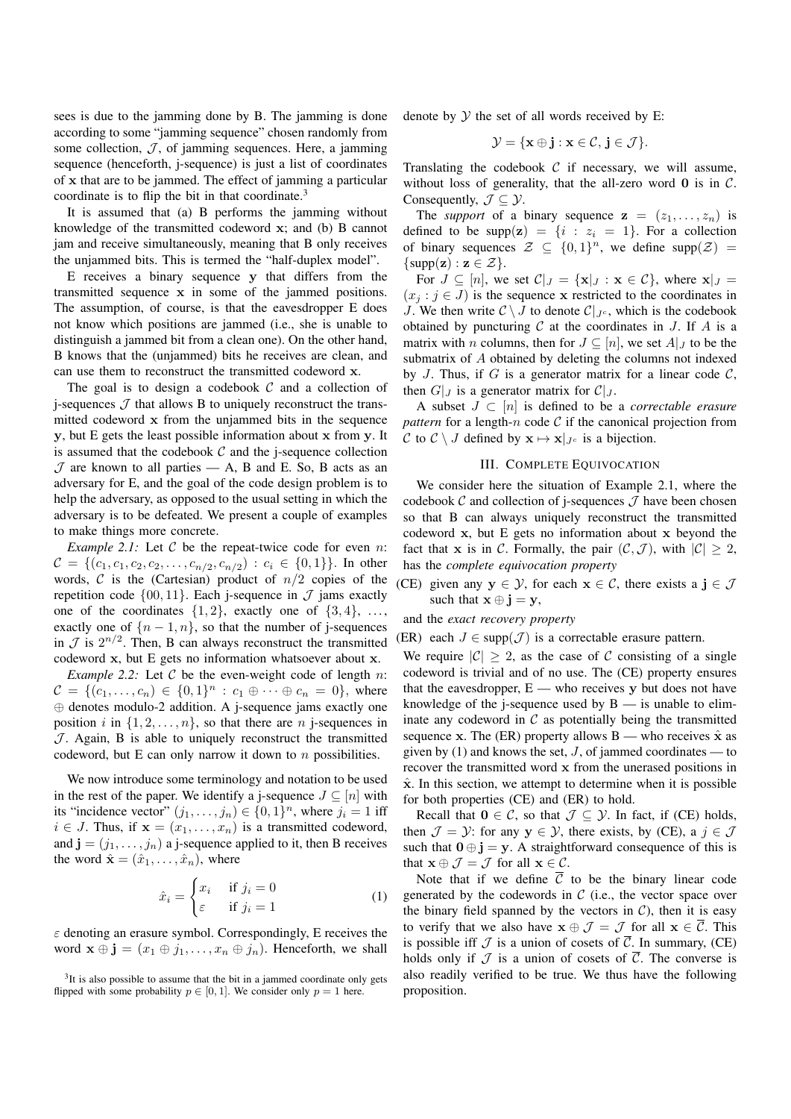sees is due to the jamming done by B. The jamming is done according to some "jamming sequence" chosen randomly from some collection,  $J$ , of jamming sequences. Here, a jamming sequence (henceforth, j-sequence) is just a list of coordinates of x that are to be jammed. The effect of jamming a particular coordinate is to flip the bit in that coordinate.<sup>3</sup>

It is assumed that (a) B performs the jamming without knowledge of the transmitted codeword x; and (b) B cannot jam and receive simultaneously, meaning that B only receives the unjammed bits. This is termed the "half-duplex model".

E receives a binary sequence y that differs from the transmitted sequence x in some of the jammed positions. The assumption, of course, is that the eavesdropper E does not know which positions are jammed (i.e., she is unable to distinguish a jammed bit from a clean one). On the other hand, B knows that the (unjammed) bits he receives are clean, and can use them to reconstruct the transmitted codeword x.

The goal is to design a codebook  $C$  and a collection of j-sequences  $\mathcal J$  that allows B to uniquely reconstruct the transmitted codeword x from the unjammed bits in the sequence y, but E gets the least possible information about x from y. It is assumed that the codebook  $\mathcal C$  and the j-sequence collection  $J$  are known to all parties — A, B and E. So, B acts as an adversary for E, and the goal of the code design problem is to help the adversary, as opposed to the usual setting in which the adversary is to be defeated. We present a couple of examples to make things more concrete.

*Example 2.1:* Let  $C$  be the repeat-twice code for even *n*:  $\mathcal{C} = \{(c_1, c_1, c_2, c_2, \ldots, c_{n/2}, c_{n/2}) : c_i \in \{0, 1\}\}.$  In other words,  $C$  is the (Cartesian) product of  $n/2$  copies of the repetition code  $\{00, 11\}$ . Each j-sequence in  $\mathcal J$  jams exactly one of the coordinates  $\{1, 2\}$ , exactly one of  $\{3, 4\}$ , ... exactly one of  $\{n-1, n\}$ , so that the number of j-sequences in  $\mathcal J$  is  $2^{n/2}$ . Then, B can always reconstruct the transmitted codeword x, but E gets no information whatsoever about x.

Example 2.2: Let  $C$  be the even-weight code of length  $n$ :  $C = \{(c_1, \ldots, c_n) \in \{0,1\}^n : c_1 \oplus \cdots \oplus c_n = 0\}$ , where ⊕ denotes modulo-2 addition. A j-sequence jams exactly one position i in  $\{1, 2, \ldots, n\}$ , so that there are n j-sequences in  $J$ . Again, B is able to uniquely reconstruct the transmitted codeword, but E can only narrow it down to  $n$  possibilities.

We now introduce some terminology and notation to be used in the rest of the paper. We identify a j-sequence  $J \subseteq [n]$  with its "incidence vector"  $(j_1, \ldots, j_n) \in \{0, 1\}^n$ , where  $j_i = 1$  iff  $i \in J$ . Thus, if  $\mathbf{x} = (x_1, \dots, x_n)$  is a transmitted codeword, and  $\mathbf{j} = (j_1, \dots, j_n)$  a j-sequence applied to it, then B receives the word  $\hat{\mathbf{x}} = (\hat{x}_1, \dots, \hat{x}_n)$ , where

$$
\hat{x}_i = \begin{cases} x_i & \text{if } j_i = 0\\ \varepsilon & \text{if } j_i = 1 \end{cases}
$$
 (1)

 $\varepsilon$  denoting an erasure symbol. Correspondingly, E receives the word  $\mathbf{x} \oplus \mathbf{j} = (x_1 \oplus j_1, \dots, x_n \oplus j_n)$ . Henceforth, we shall denote by  $Y$  the set of all words received by E:

$$
\mathcal{Y} = \{ \mathbf{x} \oplus \mathbf{j} : \mathbf{x} \in \mathcal{C}, \mathbf{j} \in \mathcal{J} \}.
$$

Translating the codebook  $C$  if necessary, we will assume, without loss of generality, that the all-zero word  $\bf{0}$  is in  $\mathcal{C}$ . Consequently,  $\mathcal{J} \subseteq \mathcal{Y}$ .

The *support* of a binary sequence  $z = (z_1, \ldots, z_n)$  is defined to be supp(z) =  $\{i : z_i = 1\}$ . For a collection of binary sequences  $\mathcal{Z} \subseteq \{0,1\}^n$ , we define  $\text{supp}(\mathcal{Z}) =$  $\{ \text{supp}(\mathbf{z}) : \mathbf{z} \in \mathcal{Z} \}.$ 

For  $J \subseteq [n]$ , we set  $\mathcal{C}|_J = {\mathbf{x}|_J : \mathbf{x} \in \mathcal{C}}$ , where  $\mathbf{x}|_J =$  $(x_i : j \in J)$  is the sequence x restricted to the coordinates in J. We then write  $C \setminus J$  to denote  $C|_{J<sup>c</sup>}$ , which is the codebook obtained by puncturing  $C$  at the coordinates in  $J$ . If  $A$  is a matrix with *n* columns, then for  $J \subseteq [n]$ , we set  $A|_J$  to be the submatrix of A obtained by deleting the columns not indexed by J. Thus, if G is a generator matrix for a linear code  $\mathcal{C}$ , then  $G|_J$  is a generator matrix for  $\mathcal{C}|_J$ .

A subset  $J \subset [n]$  is defined to be a *correctable erasure* pattern for a length-n code  $C$  if the canonical projection from C to  $C \setminus J$  defined by  $\mathbf{x} \mapsto \mathbf{x}|_{J^c}$  is a bijection.

# III. COMPLETE EQUIVOCATION

We consider here the situation of Example 2.1, where the codebook  $C$  and collection of j-sequences  $\mathcal J$  have been chosen so that B can always uniquely reconstruct the transmitted codeword x, but E gets no information about x beyond the fact that x is in C. Formally, the pair  $(C, \mathcal{J})$ , with  $|C| \geq 2$ , has the complete equivocation property

(CE) given any  $y \in \mathcal{Y}$ , for each  $x \in \mathcal{C}$ , there exists a  $j \in \mathcal{J}$ such that  $\mathbf{x} \oplus \mathbf{j} = \mathbf{y}$ ,

and the exact recovery property

(ER) each  $J \in \text{supp}(\mathcal{J})$  is a correctable erasure pattern.

We require  $|\mathcal{C}| \geq 2$ , as the case of C consisting of a single codeword is trivial and of no use. The (CE) property ensures that the eavesdropper,  $E$  — who receives y but does not have knowledge of the j-sequence used by  $B - i$ s unable to eliminate any codeword in  $\mathcal C$  as potentially being the transmitted sequence x. The (ER) property allows B — who receives  $\hat{x}$  as given by  $(1)$  and knows the set, J, of jammed coordinates — to recover the transmitted word x from the unerased positions in  $\hat{x}$ . In this section, we attempt to determine when it is possible for both properties (CE) and (ER) to hold.

Recall that  $0 \in \mathcal{C}$ , so that  $\mathcal{J} \subseteq \mathcal{Y}$ . In fact, if (CE) holds, then  $\mathcal{J} = \mathcal{Y}$ : for any  $y \in \mathcal{Y}$ , there exists, by (CE), a  $j \in \mathcal{J}$ such that  $0 \oplus j = y$ . A straightforward consequence of this is that  $\mathbf{x} \oplus \mathcal{J} = \mathcal{J}$  for all  $\mathbf{x} \in \mathcal{C}$ .

Note that if we define  $\overline{C}$  to be the binary linear code generated by the codewords in  $C$  (i.e., the vector space over the binary field spanned by the vectors in  $C$ ), then it is easy to verify that we also have  $x \oplus \mathcal{J} = \mathcal{J}$  for all  $x \in \overline{\mathcal{C}}$ . This is possible iff  $\mathcal J$  is a union of cosets of  $\overline{\mathcal C}$ . In summary, (CE) holds only if  $\mathcal I$  is a union of cosets of  $\overline{\mathcal C}$ . The converse is also readily verified to be true. We thus have the following proposition.

<sup>&</sup>lt;sup>3</sup>It is also possible to assume that the bit in a jammed coordinate only gets flipped with some probability  $p \in [0, 1]$ . We consider only  $p = 1$  here.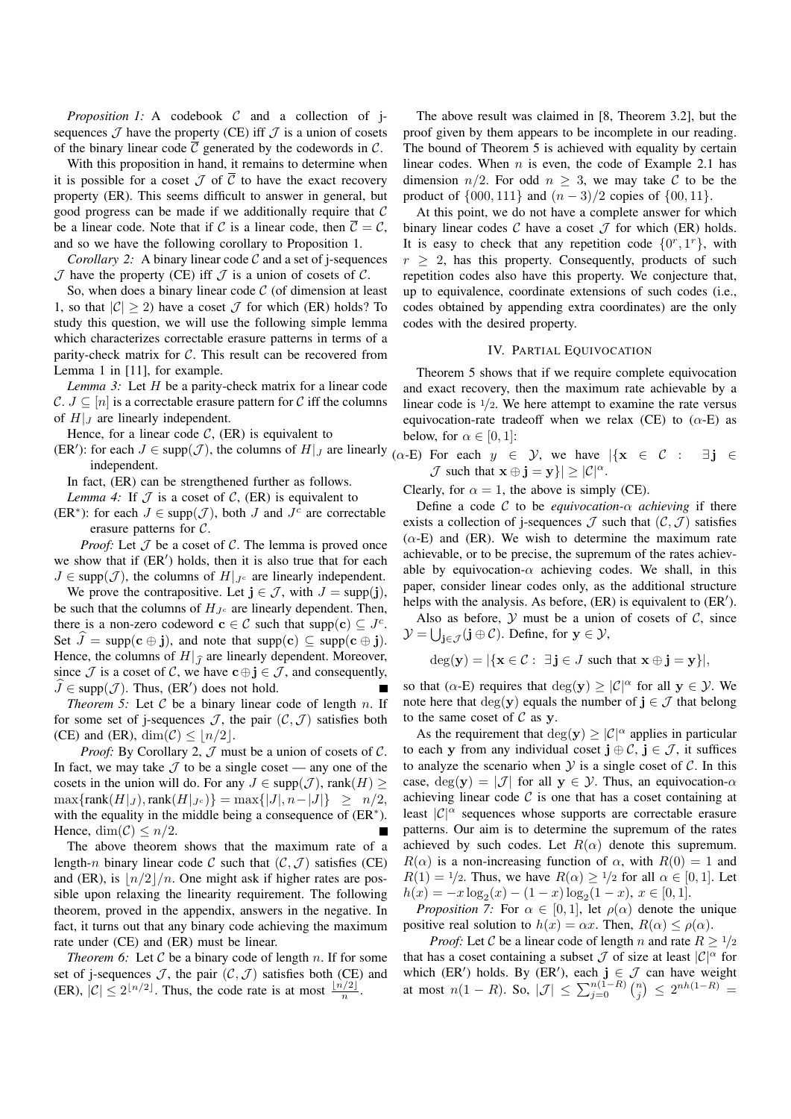*Proposition 1:* A codebook  $C$  and a collection of jsequences  $\mathcal J$  have the property (CE) iff  $\mathcal J$  is a union of cosets of the binary linear code  $\overline{C}$  generated by the codewords in  $\mathcal{C}$ .

With this proposition in hand, it remains to determine when it is possible for a coset  $\mathcal J$  of  $\overline{\mathcal C}$  to have the exact recovery property (ER). This seems difficult to answer in general, but good progress can be made if we additionally require that  $\mathcal C$ be a linear code. Note that if C is a linear code, then  $\overline{C} = C$ . and so we have the following corollary to Proposition 1.

Corollary 2: A binary linear code  $\mathcal C$  and a set of j-sequences  $J$  have the property (CE) iff  $J$  is a union of cosets of  $C$ .

So, when does a binary linear code  $C$  (of dimension at least 1, so that  $|\mathcal{C}| \geq 2$ ) have a coset  $\mathcal J$  for which (ER) holds? To study this question, we will use the following simple lemma which characterizes correctable erasure patterns in terms of a parity-check matrix for  $C$ . This result can be recovered from Lemma 1 in [11], for example.

Lemma 3: Let  $H$  be a parity-check matrix for a linear code  $\mathcal{C}. J \subseteq [n]$  is a correctable erasure pattern for C iff the columns of  $H|_J$  are linearly independent.

Hence, for a linear code  $C$ , (ER) is equivalent to

 $(ER')$ : for each  $J \in \text{supp}(\mathcal{J})$ , the columns of  $H|_J$  are linearly  $(\alpha-E)$  For each  $y \in \mathcal{Y}$ , we have  $|\{x \in \mathcal{C} : \exists j \in \mathcal{J}\}|$ independent.

In fact, (ER) can be strengthened further as follows.

Lemma 4: If  $\mathcal J$  is a coset of  $\mathcal C$ , (ER) is equivalent to

(ER<sup>\*</sup>): for each  $J \in \text{supp}(\mathcal{J})$ , both  $J$  and  $J^c$  are correctable erasure patterns for C.

*Proof:* Let  $J$  be a coset of  $C$ . The lemma is proved once we show that if  $(ER')$  holds, then it is also true that for each  $J \in \text{supp}(\mathcal{J})$ , the columns of  $H|_{J^c}$  are linearly independent.

We prove the contrapositive. Let  $\mathbf{i} \in \mathcal{J}$ , with  $J = \text{supp}(\mathbf{i})$ , be such that the columns of  $H_{J<sup>c</sup>}$  are linearly dependent. Then, there is a non-zero codeword  $c \in C$  such that supp(c)  $\subseteq J^c$ . Set  $J = \text{supp}(\mathbf{c} \oplus \mathbf{j})$ , and note that  $\text{supp}(\mathbf{c}) \subseteq \text{supp}(\mathbf{c} \oplus \mathbf{j})$ . Hence, the columns of  $H|_{\hat{J}}$  are linearly dependent. Moreover, since  $\mathcal J$  is a coset of  $\mathcal C$ , we have  $c \oplus j \in \mathcal J$ , and consequently,  $J \in \text{supp}(\mathcal{J})$ . Thus, (ER') does not hold.

Theorem 5: Let  $C$  be a binary linear code of length n. If for some set of j-sequences  $J$ , the pair  $(C, J)$  satisfies both (CE) and (ER),  $\dim(\mathcal{C}) \leq |n/2|$ .

*Proof:* By Corollary 2,  $J$  must be a union of cosets of  $C$ . In fact, we may take  $J$  to be a single coset — any one of the cosets in the union will do. For any  $J \in \text{supp}(\mathcal{J})$ , rank $(H)$  $\max{\{rank(H|_J), \text{rank}(H|_{J^c})\}} = \max{\{|J|, n-|J|\}} \ge n/2,$ with the equality in the middle being a consequence of (ER∗). Hence, dim( $C$ )  $\leq n/2$ .

The above theorem shows that the maximum rate of a length-n binary linear code  $C$  such that  $(C, \mathcal{J})$  satisfies (CE) and (ER), is  $\lfloor n/2 \rfloor/n$ . One might ask if higher rates are possible upon relaxing the linearity requirement. The following theorem, proved in the appendix, answers in the negative. In fact, it turns out that any binary code achieving the maximum rate under (CE) and (ER) must be linear.

*Theorem 6:* Let  $C$  be a binary code of length n. If for some set of j-sequences  $\mathcal{J}$ , the pair  $(\mathcal{C}, \mathcal{J})$  satisfies both (CE) and (ER),  $|\mathcal{C}| \le 2^{\lfloor n/2 \rfloor}$ . Thus, the code rate is at most  $\frac{\lfloor n/2 \rfloor}{n}$ .

The above result was claimed in [8, Theorem 3.2], but the proof given by them appears to be incomplete in our reading. The bound of Theorem 5 is achieved with equality by certain linear codes. When  $n$  is even, the code of Example 2.1 has dimension  $n/2$ . For odd  $n \geq 3$ , we may take C to be the product of  $\{000, 111\}$  and  $(n-3)/2$  copies of  $\{00, 11\}$ .

At this point, we do not have a complete answer for which binary linear codes  $C$  have a coset  $\mathcal J$  for which (ER) holds. It is easy to check that any repetition code  $\{0^r, 1^r\}$ , with  $r \geq 2$ , has this property. Consequently, products of such repetition codes also have this property. We conjecture that, up to equivalence, coordinate extensions of such codes (i.e., codes obtained by appending extra coordinates) are the only codes with the desired property.

## IV. PARTIAL EQUIVOCATION

Theorem 5 shows that if we require complete equivocation and exact recovery, then the maximum rate achievable by a linear code is  $1/2$ . We here attempt to examine the rate versus equivocation-rate tradeoff when we relax (CE) to  $(\alpha$ -E) as below, for  $\alpha \in [0, 1]$ :

 $\mathcal J$  such that  $\mathbf x \oplus \mathbf j = \mathbf y \} \leq |\mathcal C|^\alpha$ .

Clearly, for  $\alpha = 1$ , the above is simply (CE).

Define a code C to be *equivocation-* $\alpha$  *achieving* if there exists a collection of j-sequences  $\mathcal J$  such that  $(\mathcal C,\mathcal J)$  satisfies  $(\alpha-E)$  and (ER). We wish to determine the maximum rate achievable, or to be precise, the supremum of the rates achievable by equivocation- $\alpha$  achieving codes. We shall, in this paper, consider linear codes only, as the additional structure helps with the analysis. As before,  $(ER)$  is equivalent to  $(ER')$ .

Also as before,  $Y$  must be a union of cosets of  $C$ , since  $\mathcal{Y} = \bigcup_{\mathbf{j} \in \mathcal{J}} (\mathbf{j} \oplus \mathcal{C})$ . Define, for  $\mathbf{y} \in \mathcal{Y}$ ,

$$
\deg(\mathbf{y}) = |\{\mathbf{x} \in \mathcal{C}: \ \exists \mathbf{j} \in J \ \text{such that} \ \mathbf{x} \oplus \mathbf{j} = \mathbf{y}\}|,
$$

so that ( $\alpha$ -E) requires that  $\deg(y) \geq |\mathcal{C}|^{\alpha}$  for all  $y \in \mathcal{Y}$ . We note here that deg(y) equals the number of  $j \in \mathcal{J}$  that belong to the same coset of  $C$  as  $y$ .

As the requirement that deg(y)  $\geq |\mathcal{C}|^{\alpha}$  applies in particular to each y from any individual coset  $j \oplus \mathcal{C}$ ,  $j \in \mathcal{J}$ , it suffices to analyze the scenario when  $Y$  is a single coset of  $C$ . In this case,  $deg(y) = |\mathcal{J}|$  for all  $y \in \mathcal{Y}$ . Thus, an equivocation- $\alpha$ achieving linear code  $\mathcal C$  is one that has a coset containing at least  $|\mathcal{C}|^{\alpha}$  sequences whose supports are correctable erasure patterns. Our aim is to determine the supremum of the rates achieved by such codes. Let  $R(\alpha)$  denote this supremum.  $R(\alpha)$  is a non-increasing function of  $\alpha$ , with  $R(0) = 1$  and  $R(1) = \frac{1}{2}$ . Thus, we have  $R(\alpha) \ge \frac{1}{2}$  for all  $\alpha \in [0, 1]$ . Let  $h(x) = -x \log_2(x) - (1-x) \log_2(1-x), x \in [0,1].$ 

*Proposition 7:* For  $\alpha \in [0,1]$ , let  $\rho(\alpha)$  denote the unique positive real solution to  $h(x) = \alpha x$ . Then,  $R(\alpha) \le \rho(\alpha)$ .

*Proof:* Let C be a linear code of length n and rate  $R \ge 1/2$ that has a coset containing a subset  $\mathcal J$  of size at least  $|\mathcal C|^\alpha$  for which (ER<sup>'</sup>) holds. By (ER<sup>'</sup>), each  $j \in \mathcal{J}$  can have weight at most  $n(1 - R)$ . So,  $|\mathcal{J}| \le \sum_{j=0}^{n(1-R)} {n \choose j} \le 2^{nh(1-R)} =$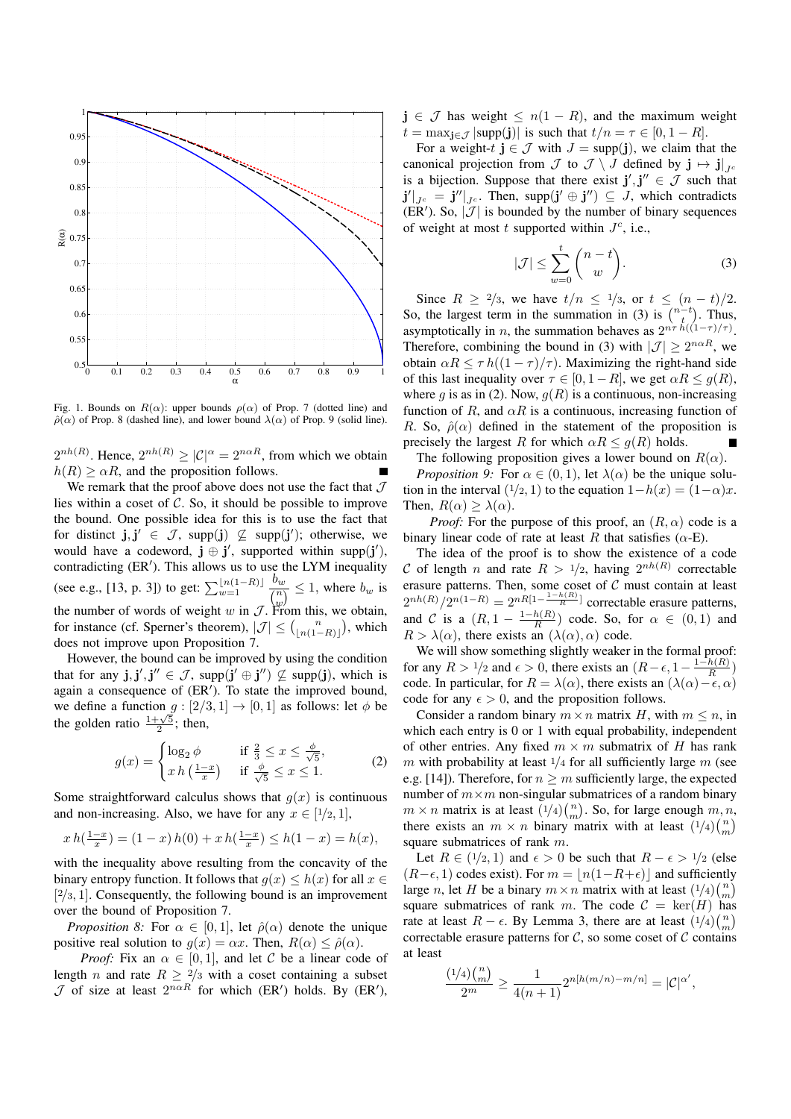

Fig. 1. Bounds on  $R(\alpha)$ : upper bounds  $\rho(\alpha)$  of Prop. 7 (dotted line) and  $\hat{\rho}(\alpha)$  of Prop. 8 (dashed line), and lower bound  $\lambda(\alpha)$  of Prop. 9 (solid line).

 $2^{nh(R)}$ . Hence,  $2^{nh(R)} \geq |\mathcal{C}|^{\alpha} = 2^{n\alpha R}$ , from which we obtain  $h(R) \geq \alpha R$ , and the proposition follows.

We remark that the proof above does not use the fact that  $J$ lies within a coset of  $C$ . So, it should be possible to improve the bound. One possible idea for this is to use the fact that for distinct  $\mathbf{j}, \mathbf{j}' \in \mathcal{J}$ , supp $(\mathbf{j}) \nsubseteq \text{supp}(\mathbf{j}')$ ; otherwise, we would have a codeword,  $\mathbf{j} \oplus \mathbf{j}'$ , supported within supp $(\mathbf{j}')$ , contradicting  $(ER')$ . This allows us to use the LYM inequality (see e.g., [13, p. 3]) to get:  $\sum_{w=1}^{\lfloor n(1-R)\rfloor} \frac{b_w}{\binom{n}{w}} \le 1$ , where  $b_w$  is the number of words of weight w in  $\mathcal J$ . From this, we obtain, for instance (cf. Sperner's theorem),  $|\mathcal{J}| \leq {n \choose \lfloor n(1-R)\rfloor}$ , which does not improve upon Proposition 7.

However, the bound can be improved by using the condition that for any  $\mathbf{j}, \mathbf{j}', \mathbf{j}'' \in \mathcal{J}$ ,  $\text{supp}(\mathbf{j}' \oplus \mathbf{j}'') \nsubseteq \text{supp}(\mathbf{j})$ , which is again a consequence of  $(ER')$ . To state the improved bound, we define a function  $g : [2/3, 1] \rightarrow [0, 1]$  as follows: let  $\phi$  be the golden ratio  $\frac{1+\sqrt{5}}{2}$ ; then,

$$
g(x) = \begin{cases} \log_2 \phi & \text{if } \frac{2}{3} \le x \le \frac{\phi}{\sqrt{5}},\\ x h\left(\frac{1-x}{x}\right) & \text{if } \frac{\phi}{\sqrt{5}} \le x \le 1. \end{cases}
$$
 (2)

Some straightforward calculus shows that  $q(x)$  is continuous and non-increasing. Also, we have for any  $x \in [1/2, 1]$ ,

$$
x h(\frac{1-x}{x}) = (1-x) h(0) + x h(\frac{1-x}{x}) \le h(1-x) = h(x),
$$

with the inequality above resulting from the concavity of the binary entropy function. It follows that  $g(x) \leq h(x)$  for all  $x \in$  $[2/3, 1]$ . Consequently, the following bound is an improvement over the bound of Proposition 7.

*Proposition 8:* For  $\alpha \in [0, 1]$ , let  $\hat{\rho}(\alpha)$  denote the unique positive real solution to  $q(x) = \alpha x$ . Then,  $R(\alpha) \leq \hat{\rho}(\alpha)$ .

*Proof:* Fix an  $\alpha \in [0, 1]$ , and let C be a linear code of length *n* and rate  $R \geq \frac{2}{3}$  with a coset containing a subset  $\mathcal J$  of size at least  $2^{n\alpha R}$  for which (ER<sup>'</sup>) holds. By (ER<sup>'</sup>),  $j \in \mathcal{J}$  has weight  $\leq n(1 - R)$ , and the maximum weight  $t = \max_{\mathbf{i} \in \mathcal{J}} |\text{supp}(\mathbf{j})|$  is such that  $t/n = \tau \in [0, 1 - R]$ .

For a weight-t  $j \in \mathcal{J}$  with  $J = \text{supp}(j)$ , we claim that the canonical projection from  $\mathcal{J}$  to  $\mathcal{J} \setminus J$  defined by  $\mathbf{j} \mapsto \mathbf{j}|_{J^c}$ is a bijection. Suppose that there exist  $j', j'' \in \mathcal{J}$  such that  $\mathbf{j}'|_{J^c} = \mathbf{j}''|_{J^c}$ . Then, supp $(\mathbf{j}' \oplus \mathbf{j}'') \subseteq J$ , which contradicts  $(ER')$ . So,  $|\mathcal{J}|$  is bounded by the number of binary sequences of weight at most t supported within  $J<sup>c</sup>$ , i.e.,

$$
|\mathcal{J}| \le \sum_{w=0}^{t} \binom{n-t}{w}.
$$
 (3)

Since  $R \ge 2/3$ , we have  $t/n \le 1/3$ , or  $t \le (n-t)/2$ . So, the largest term in the summation in (3) is  $\binom{n-t}{t}$ . Thus, asymptotically in *n*, the summation behaves as  $2^{n\tau} h((1-\tau)/\tau)$ . Therefore, combining the bound in (3) with  $|\mathcal{J}| \geq 2^{n \alpha R}$ , we obtain  $\alpha R \le \tau h((1 - \tau)/\tau)$ . Maximizing the right-hand side of this last inequality over  $\tau \in [0, 1-R]$ , we get  $\alpha R \leq g(R)$ , where q is as in (2). Now,  $q(R)$  is a continuous, non-increasing function of R, and  $\alpha R$  is a continuous, increasing function of R. So,  $\hat{\rho}(\alpha)$  defined in the statement of the proposition is precisely the largest R for which  $\alpha R \leq g(R)$  holds.

The following proposition gives a lower bound on  $R(\alpha)$ . *Proposition 9:* For  $\alpha \in (0, 1)$ , let  $\lambda(\alpha)$  be the unique solution in the interval  $(1/2, 1)$  to the equation  $1-h(x) = (1-\alpha)x$ . Then,  $R(\alpha) > \lambda(\alpha)$ .

*Proof:* For the purpose of this proof, an  $(R, \alpha)$  code is a binary linear code of rate at least R that satisfies ( $\alpha$ -E).

The idea of the proof is to show the existence of a code C of length n and rate  $R > 1/2$ , having  $2^{nh(R)}$  correctable erasure patterns. Then, some coset of C must contain at least  $2^{nh(R)}/2^{n(1-R)} = 2^{nR[1-\frac{1-h(R)}{R}]}$  correctable erasure patterns, and C is a  $(R, 1 - \frac{1-h(R)}{R})$  code. So, for  $\alpha \in (0,1)$  and  $R > \lambda(\alpha)$ , there exists an  $(\lambda(\alpha), \alpha)$  code.

We will show something slightly weaker in the formal proof: for any  $R > 1/2$  and  $\epsilon > 0$ , there exists an  $(R - \epsilon, 1 - \frac{1 - h(R)}{R})$ code. In particular, for  $R = \lambda(\alpha)$ , there exists an  $(\lambda(\alpha) - \epsilon, \alpha)$ code for any  $\epsilon > 0$ , and the proposition follows.

Consider a random binary  $m \times n$  matrix H, with  $m \leq n$ , in which each entry is 0 or 1 with equal probability, independent of other entries. Any fixed  $m \times m$  submatrix of H has rank m with probability at least  $\frac{1}{4}$  for all sufficiently large m (see e.g. [14]). Therefore, for  $n \ge m$  sufficiently large, the expected number of  $m \times m$  non-singular submatrices of a random binary  $m \times n$  matrix is at least  $(1/4) {n \choose m}$ . So, for large enough  $m, n, n$ there exists an  $m \times n$  binary matrix with at least  $(1/4) {n \choose m}$ square submatrices of rank m.

Let  $R \in (1/2, 1)$  and  $\epsilon > 0$  be such that  $R - \epsilon > 1/2$  (else  $(R-\epsilon, 1)$  codes exist). For  $m = \lfloor n(1-R+\epsilon) \rfloor$  and sufficiently large n, let H be a binary  $m \times n$  matrix with at least  $(1/4) {n \choose m}$ square submatrices of rank m. The code  $C = \text{ker}(H)$  has rate at least  $R - \epsilon$ . By Lemma 3, there are at least  $(1/4) {n \choose m}$ correctable erasure patterns for  $C$ , so some coset of  $C$  contains at least

$$
\frac{(1/4)\binom{n}{m}}{2^m} \geq \frac{1}{4(n+1)} 2^{n[h(m/n)-m/n]} = |\mathcal{C}|^{\alpha'},
$$